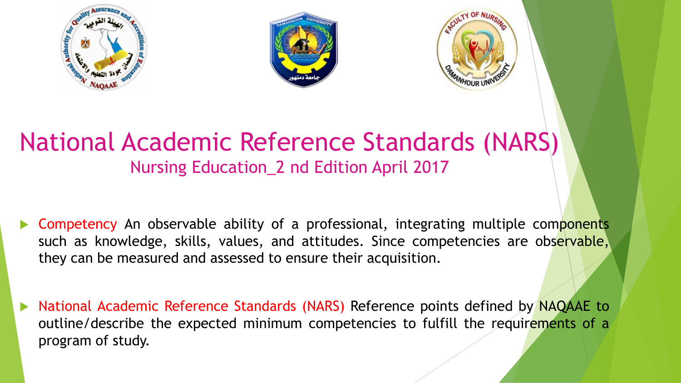





## National Academic Reference Standards (NARS) Nursing Education\_2 nd Edition April 2017

- Competency An observable ability of a professional, integrating multiple components such as knowledge, skills, values, and attitudes. Since competencies are observable, they can be measured and assessed to ensure their acquisition.
- National Academic Reference Standards (NARS) Reference points defined by NAQAAE to outline/describe the expected minimum competencies to fulfill the requirements of a program of study.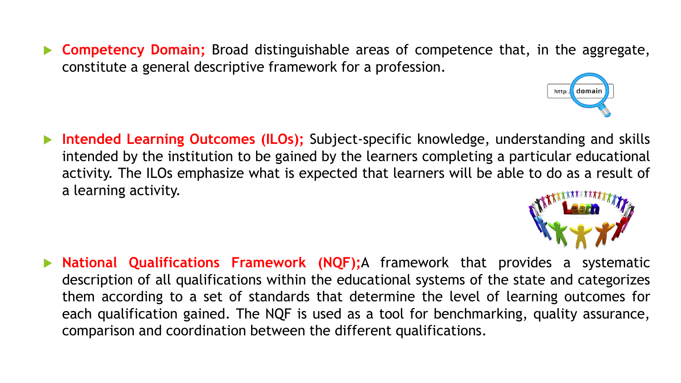**Competency Domain;** Broad distinguishable areas of competence that, in the aggregate, constitute a general descriptive framework for a profession.

 **Intended Learning Outcomes (ILOs);** Subject-specific knowledge, understanding and skills intended by the institution to be gained by the learners completing a particular educational activity. The ILOs emphasize what is expected that learners will be able to do as a result of a learning activity.

 **National Qualifications Framework (NQF);**A framework that provides a systematic description of all qualifications within the educational systems of the state and categorizes them according to a set of standards that determine the level of learning outcomes for each qualification gained. The NQF is used as a tool for benchmarking, quality assurance, comparison and coordination between the different qualifications.



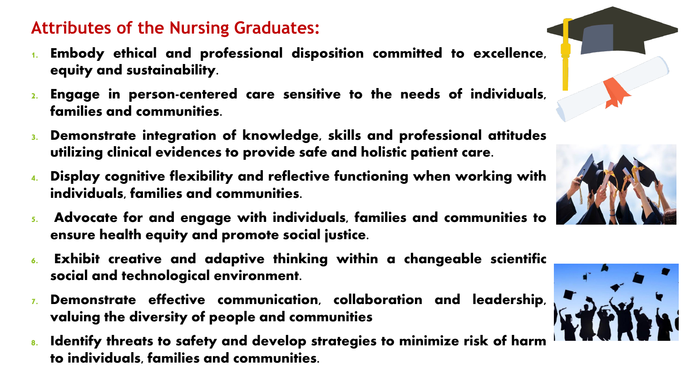#### **Attributes of the Nursing Graduates:**

- 1. Embody ethical and professional disposition committed to excellence, equity and sustainability.
- 2. Engage in person-centered care sensitive to the needs of individuals, families and communities.
- 3. Demonstrate integration of knowledge, skills and professional attitudes utilizing clinical evidences to provide safe and holistic patient care.
- 4. Display cognitive flexibility and reflective functioning when working with individuals, families and communities.
- 5. Advocate for and engage with individuals, families and communities to ensure health equity and promote social justice.
- 6. Exhibit creative and adaptive thinking within a changeable scientific social and technological environment.
- 7. Demonstrate effective communication, collaboration and leadership, valuing the diversity of people and communities
- 8. Identify threats to safety and develop strategies to minimize risk of harm to individuals, families and communities.





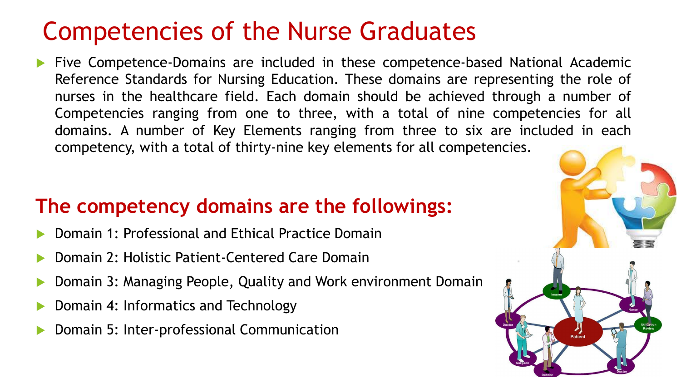# Competencies of the Nurse Graduates

 Five Competence-Domains are included in these competence-based National Academic Reference Standards for Nursing Education. These domains are representing the role of nurses in the healthcare field. Each domain should be achieved through a number of Competencies ranging from one to three, with a total of nine competencies for all domains. A number of Key Elements ranging from three to six are included in each competency, with a total of thirty-nine key elements for all competencies.

### **The competency domains are the followings:**

- Domain 1: Professional and Ethical Practice Domain
- Domain 2: Holistic Patient-Centered Care Domain
- Domain 3: Managing People, Quality and Work environment Domain
- Domain 4: Informatics and Technology
- Domain 5: Inter-professional Communication

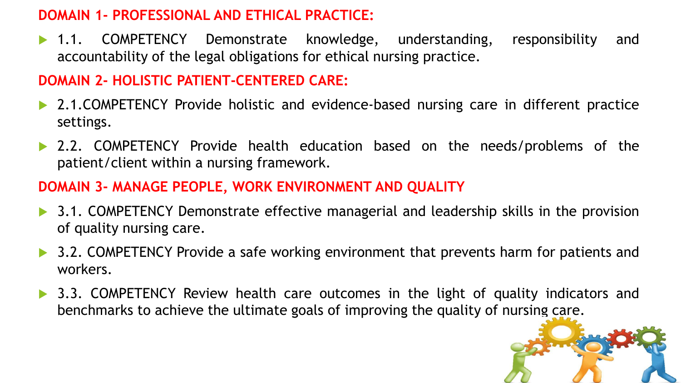#### **DOMAIN 1- PROFESSIONAL AND ETHICAL PRACTICE:**

• 1.1. COMPETENCY Demonstrate knowledge, understanding, responsibility and accountability of the legal obligations for ethical nursing practice.

#### **DOMAIN 2- HOLISTIC PATIENT-CENTERED CARE:**

- ▶ 2.1.COMPETENCY Provide holistic and evidence-based nursing care in different practice settings.
- 2.2. COMPETENCY Provide health education based on the needs/problems of the patient/client within a nursing framework.

#### **DOMAIN 3- MANAGE PEOPLE, WORK ENVIRONMENT AND QUALITY**

- ▶ 3.1. COMPETENCY Demonstrate effective managerial and leadership skills in the provision of quality nursing care.
- 3.2. COMPETENCY Provide a safe working environment that prevents harm for patients and workers.
- ▶ 3.3. COMPETENCY Review health care outcomes in the light of quality indicators and benchmarks to achieve the ultimate goals of improving the quality of nursing care.